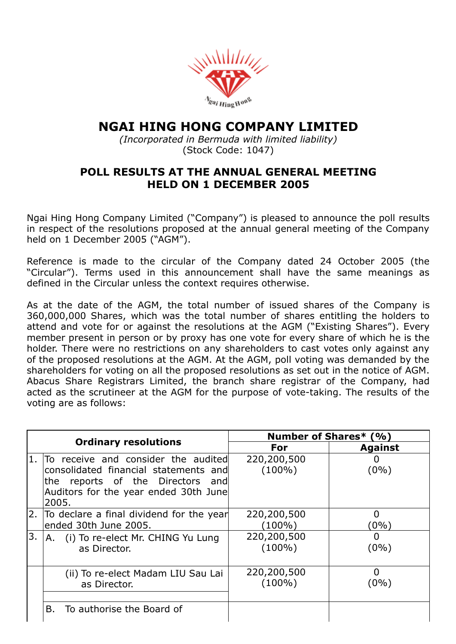

## NGAI HING HONG COMPANY LIMITED

*(Incorporated in Bermuda with limited liability)* (Stock Code: 1047)

## POLL RESULTS AT THE ANNUAL GENERAL MEETING HELD ON 1 DECEMBER 2005

Ngai Hing Hong Company Limited ("Company") is pleased to announce the poll results in respect of the resolutions proposed at the annual general meeting of the Company held on 1 December 2005 ("AGM").

Reference is made to the circular of the Company dated 24 October 2005 (the "Circular"). Terms used in this announcement shall have the same meanings as defined in the Circular unless the context requires otherwise.

As at the date of the AGM, the total number of issued shares of the Company is 360,000,000 Shares, which was the total number of shares entitling the holders to attend and vote for or against the resolutions at the AGM ("Existing Shares"). Every member present in person or by proxy has one vote for every share of which he is the holder. There were no restrictions on any shareholders to cast votes only against any of the proposed resolutions at the AGM. At the AGM, poll voting was demanded by the shareholders for voting on all the proposed resolutions as set out in the notice of AGM. Abacus Share Registrars Limited, the branch share registrar of the Company, had acted as the scrutineer at the AGM for the purpose of vote-taking. The results of the voting are as follows:

| <b>Ordinary resolutions</b> |                                                                                                                                                                    | <b>Number of Shares* (%)</b> |                         |
|-----------------------------|--------------------------------------------------------------------------------------------------------------------------------------------------------------------|------------------------------|-------------------------|
|                             |                                                                                                                                                                    | For                          | <b>Against</b>          |
| $\mathbf{1}$ .              | To receive and consider the audited<br>consolidated financial statements and<br>the reports of the Directors and<br>Auditors for the year ended 30th June<br>2005. | 220,200,500<br>$(100\%)$     | $(0\%)$                 |
|                             | 2. To declare a final dividend for the year<br>ended 30th June 2005.                                                                                               | 220,200,500<br>(100%)        | <sup>0</sup><br>$(0\%)$ |
| 3.                          | A. (i) To re-elect Mr. CHING Yu Lung<br>as Director.                                                                                                               | 220,200,500<br>$(100\%)$     | $\mathbf{I}$<br>(0%)    |
|                             | (ii) To re-elect Madam LIU Sau Lai<br>as Director.                                                                                                                 | 220,200,500<br>$(100\%)$     | 0<br>(0%)               |
|                             | To authorise the Board of<br>В.                                                                                                                                    |                              |                         |